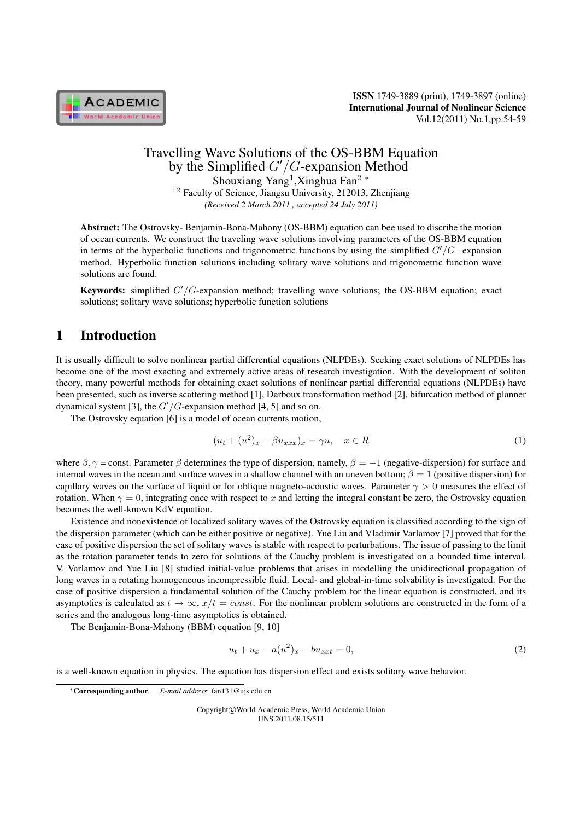

## Travelling Wave Solutions of the OS-BBM Equation by the Simplified *G'*/*G*-expansion Method Shouxiang Yang<sup>1</sup> ,Xinghua Fan<sup>2</sup> *<sup>∗</sup>* <sup>12</sup> Faculty of Science, Jiangsu University, 212013, Zhenjiang *(Received 2 March 2011 , accepted 24 July 2011)*

Abstract: The Ostrovsky- Benjamin-Bona-Mahony (OS-BBM) equation can bee used to discribe the motion of ocean currents. We construct the traveling wave solutions involving parameters of the OS-BBM equation in terms of the hyperbolic functions and trigonometric functions by using the simplified *′/−*expansion method. Hyperbolic function solutions including solitary wave solutions and trigonometric function wave solutions are found.

**Keywords:** simplified *G'/G*-expansion method; travelling wave solutions; the OS-BBM equation; exact solutions; solitary wave solutions; hyperbolic function solutions

# 1 Introduction

It is usually difficult to solve nonlinear partial differential equations (NLPDEs). Seeking exact solutions of NLPDEs has become one of the most exacting and extremely active areas of research investigation. With the development of soliton theory, many powerful methods for obtaining exact solutions of nonlinear partial differential equations (NLPDEs) have been presented, such as inverse scattering method [1], Darboux transformation method [2], bifurcation method of planner dynamical system [3], the  $G'/G$ -expansion method [4, 5] and so on.

The Ostrovsky equation [6] is a model of ocean currents motion,

$$
(u_t + (u^2)_x - \beta u_{xxx})_x = \gamma u, \quad x \in R
$$
\n<sup>(1)</sup>

where  $\beta$ ,  $\gamma$  = const. Parameter  $\beta$  determines the type of dispersion, namely,  $\beta$  = −1 (negative-dispersion) for surface and internal waves in the ocean and surface waves in a shallow channel with an uneven bottom;  $\beta = 1$  (positive dispersion) for capillary waves on the surface of liquid or for oblique magneto-acoustic waves. Parameter  $\gamma > 0$  measures the effect of rotation. When  $\gamma = 0$ , integrating once with respect to x and letting the integral constant be zero, the Ostrovsky equation becomes the well-known KdV equation.

Existence and nonexistence of localized solitary waves of the Ostrovsky equation is classified according to the sign of the dispersion parameter (which can be either positive or negative). Yue Liu and Vladimir Varlamov [7] proved that for the case of positive dispersion the set of solitary waves is stable with respect to perturbations. The issue of passing to the limit as the rotation parameter tends to zero for solutions of the Cauchy problem is investigated on a bounded time interval. V. Varlamov and Yue Liu [8] studied initial-value problems that arises in modelling the unidirectional propagation of long waves in a rotating homogeneous incompressible fluid. Local- and global-in-time solvability is investigated. For the case of positive dispersion a fundamental solution of the Cauchy problem for the linear equation is constructed, and its asymptotics is calculated as  $t \to \infty$ ,  $x/t = const$ . For the nonlinear problem solutions are constructed in the form of a series and the analogous long-time asymptotics is obtained.

The Benjamin-Bona-Mahony (BBM) equation [9, 10]

$$
u_t + u_x - a(u^2)_x - bu_{xxt} = 0,
$$
\t(2)

is a well-known equation in physics. The equation has dispersion effect and exists solitary wave behavior.

Copyright*⃝*c World Academic Press, World Academic Union IJNS.2011.08.15/511

*<sup>∗</sup>*Corresponding author. *E-mail address*: fan131@ujs.edu.cn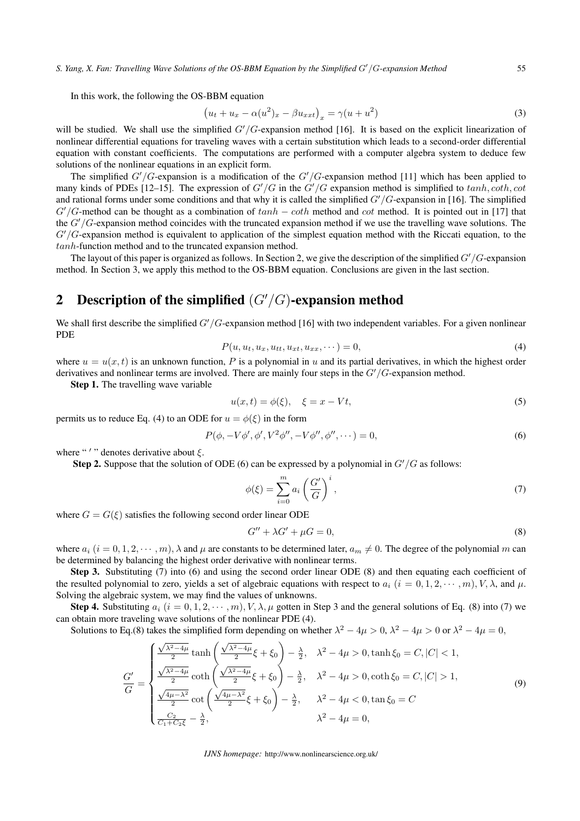*S. Yang, X. Fan: Travelling Wave Solutions of the OS-BBM Equation by the Simplified ′ /-expansion Method* 55

In this work, the following the OS-BBM equation

$$
(u_t + u_x - \alpha(u^2)_x - \beta u_{xxt})_x = \gamma(u + u^2)
$$
\n(3)

will be studied. We shall use the simplified  $G'/G$ -expansion method [16]. It is based on the explicit linearization of nonlinear differential equations for traveling waves with a certain substitution which leads to a second-order differential equation with constant coefficients. The computations are performed with a computer algebra system to deduce few solutions of the nonlinear equations in an explicit form.

The simplified  $G'/G$ -expansion is a modification of the  $G'/G$ -expansion method [11] which has been applied to many kinds of PDEs [12–15]. The expression of  $G'/G$  in the  $G'/G$  expansion method is simplified to  $tanh, coth$ ,  $cot$ and rational forms under some conditions and that why it is called the simplified  $G'/G$ -expansion in [16]. The simplified  $G'/G$ -method can be thought as a combination of  $tanh - \coth$  method and  $\cot$  method. It is pointed out in [17] that the *G'*/*G*-expansion method coincides with the truncated expansion method if we use the travelling wave solutions. The  $G'/G$ -expansion method is equivalent to application of the simplest equation method with the Riccati equation, to the *tanh*-function method and to the truncated expansion method.

The layout of this paper is organized as follows. In Section 2, we give the description of the simplified *G'*/*G*-expansion method. In Section 3, we apply this method to the OS-BBM equation. Conclusions are given in the last section.

# 2 Description of the simplified  $(G'/G)$ -expansion method

We shall first describe the simplified *G'*/*G*-expansion method [16] with two independent variables. For a given nonlinear PDE

$$
P(u, u_t, u_x, u_{tt}, u_{xx}, \dots) = 0,
$$
\n(4)

where  $u = u(x, t)$  is an unknown function, P is a polynomial in u and its partial derivatives, in which the highest order derivatives and nonlinear terms are involved. There are mainly four steps in the  $G'/G$ -expansion method.

Step 1. The travelling wave variable

$$
u(x,t) = \phi(\xi), \quad \xi = x - Vt,
$$
\n(5)

permits us to reduce Eq. (4) to an ODE for  $u = \phi(\xi)$  in the form

$$
P(\phi, -V\phi', \phi', V^2\phi'', -V\phi'', \phi'', \cdots) = 0,
$$
\n(6)

where "'" denotes derivative about  $\xi$ .

**Step 2.** Suppose that the solution of ODE (6) can be expressed by a polynomial in  $G'/G$  as follows:

$$
\phi(\xi) = \sum_{i=0}^{m} a_i \left(\frac{G'}{G}\right)^i,\tag{7}
$$

where  $G = G(\xi)$  satisfies the following second order linear ODE

$$
G'' + \lambda G' + \mu G = 0,\tag{8}
$$

where  $a_i$   $(i = 0, 1, 2, \dots, m)$ ,  $\lambda$  and  $\mu$  are constants to be determined later,  $a_m \neq 0$ . The degree of the polynomial m can be determined by balancing the highest order derivative with nonlinear terms.

Step 3. Substituting (7) into (6) and using the second order linear ODE (8) and then equating each coefficient of the resulted polynomial to zero, yields a set of algebraic equations with respect to  $a_i$  ( $i = 0, 1, 2, \cdots, m$ ),  $V, \lambda$ , and  $\mu$ . Solving the algebraic system, we may find the values of unknowns.

Step 4. Substituting  $a_i$   $(i = 0, 1, 2, \dots, m)$ ,  $V, \lambda, \mu$  gotten in Step 3 and the general solutions of Eq. (8) into (7) we can obtain more traveling wave solutions of the nonlinear PDE (4).

Solutions to Eq.(8) takes the simplified form depending on whether  $\lambda^2 - 4\mu > 0$ ,  $\lambda^2 - 4\mu > 0$  or  $\lambda^2 - 4\mu = 0$ ,

$$
\frac{G'}{G} = \begin{cases}\n\frac{\sqrt{\lambda^2 - 4\mu}}{2} \tanh\left(\frac{\sqrt{\lambda^2 - 4\mu}}{2}\xi + \xi_0\right) - \frac{\lambda}{2}, & \lambda^2 - 4\mu > 0, \tanh\xi_0 = C, |C| < 1, \\
\frac{\sqrt{\lambda^2 - 4\mu}}{2} \coth\left(\frac{\sqrt{\lambda^2 - 4\mu}}{2}\xi + \xi_0\right) - \frac{\lambda}{2}, & \lambda^2 - 4\mu > 0, \coth\xi_0 = C, |C| > 1, \\
\frac{\sqrt{4\mu - \lambda^2}}{2} \cot\left(\frac{\sqrt{4\mu - \lambda^2}}{2}\xi + \xi_0\right) - \frac{\lambda}{2}, & \lambda^2 - 4\mu < 0, \tan\xi_0 = C \\
\frac{C_2}{C_1 + C_2\xi} - \frac{\lambda}{2}, & \lambda^2 - 4\mu = 0,\n\end{cases}
$$
\n(9)

*IJNS homepage:* http://www.nonlinearscience.org.uk/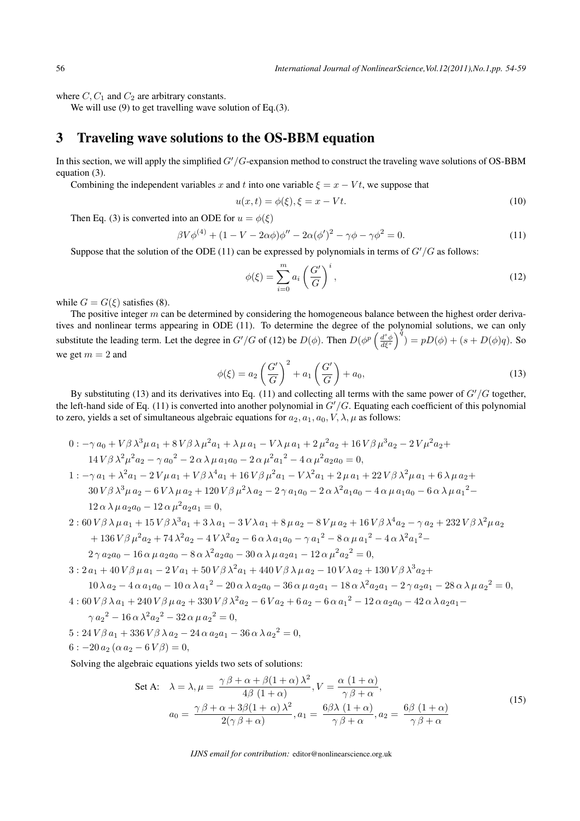where  $C, C_1$  and  $C_2$  are arbitrary constants.

We will use (9) to get travelling wave solution of Eq.(3).

## 3 Traveling wave solutions to the OS-BBM equation

In this section, we will apply the simplified *G'/G*-expansion method to construct the traveling wave solutions of OS-BBM equation (3).

Combining the independent variables x and t into one variable  $\xi = x - Vt$ , we suppose that

$$
u(x,t) = \phi(\xi), \xi = x - Vt.
$$
 (10)

Then Eq. (3) is converted into an ODE for  $u = \phi(\xi)$ 

$$
\beta V \phi^{(4)} + (1 - V - 2\alpha \phi) \phi'' - 2\alpha (\phi')^2 - \gamma \phi - \gamma \phi^2 = 0.
$$
 (11)

Suppose that the solution of the ODE (11) can be expressed by polynomials in terms of  $G'/G$  as follows:

$$
\phi(\xi) = \sum_{i=0}^{m} a_i \left(\frac{G'}{G}\right)^i,\tag{12}
$$

while  $G = G(\xi)$  satisfies (8).

The positive integer  $m$  can be determined by considering the homogeneous balance between the highest order derivatives and nonlinear terms appearing in ODE (11). To determine the degree of the polynomial solutions, we can only substitute the leading term. Let the degree in  $G'/G$  of (12) be  $D(\phi)$ . Then  $D(\phi^p \left(\frac{d^s \phi}{d\xi^s}\right)^{\tilde{q}}) = pD(\phi) + (s + D(\phi)q)$ . So we get  $m = 2$  and

$$
\phi(\xi) = a_2 \left(\frac{G'}{G}\right)^2 + a_1 \left(\frac{G'}{G}\right) + a_0,\tag{13}
$$

By substituting (13) and its derivatives into Eq. (11) and collecting all terms with the same power of  $G'/G$  together, the left-hand side of Eq. (11) is converted into another polynomial in  $G'/G$ . Equating each coefficient of this polynomial to zero, yields a set of simultaneous algebraic equations for  $a_2, a_1, a_0, V, \lambda, \mu$  as follows:

$$
0: -\gamma a_0 + V\beta \lambda^3 \mu a_1 + 8V\beta \lambda \mu^2 a_1 + \lambda \mu a_1 - V\lambda \mu a_1 + 2 \mu^2 a_2 + 16V\beta \mu^3 a_2 - 2V\mu^2 a_2 + 14V\beta \lambda^2 \mu^2 a_2 - \gamma a_0^2 - 2\alpha \lambda \mu a_1 a_0 - 2\alpha \mu^2 a_1^2 - 4\alpha \mu^2 a_2 a_0 = 0,
$$
  
\n
$$
1: -\gamma a_1 + \lambda^2 a_1 - 2V\mu a_1 + V\beta \lambda^4 a_1 + 16V\beta \mu^2 a_1 - V\lambda^2 a_1 + 2\mu a_1 + 22V\beta \lambda^2 \mu a_1 + 6\lambda \mu a_2 + 30V\beta \lambda^3 \mu a_2 - 6V\lambda \mu a_2 + 120V\beta \mu^2 \lambda a_2 - 2\gamma a_1 a_0 - 2\alpha \lambda^2 a_1 a_0 - 4\alpha \mu a_1 a_0 - 6\alpha \lambda \mu a_1^2 - 12\alpha \lambda \mu a_2 a_0 - 12\alpha \mu^2 a_2 a_1 = 0,
$$
  
\n
$$
2: 60V\beta \lambda \mu a_1 + 15V\beta \lambda^3 a_1 + 3\lambda a_1 - 3V\lambda a_1 + 8\mu a_2 - 8V\mu a_2 + 16V\beta \lambda^4 a_2 - \gamma a_2 + 232V\beta \lambda^2 \mu a_2 + 136V\beta \mu^2 a_2 + 74\lambda^2 a_2 - 4V\lambda^2 a_2 - 6\alpha \lambda a_1 a_0 - \gamma a_1^2 - 8\alpha \mu a_1^2 - 4\alpha \lambda^2 a_1^2 -
$$

$$
2\gamma a_2 a_0 - 16\alpha \mu a_2 a_0 - 8\alpha \lambda^2 a_2 a_0 - 30\alpha \lambda \mu a_2 a_1 - 12\alpha \mu^2 a_2^2 = 0,
$$

 $3: 2 a_1 + 40 V \beta \mu a_1 - 2 V a_1 + 50 V \beta \lambda^2 a_1 + 440 V \beta \lambda \mu a_2 - 10 V \lambda a_2 + 130 V \beta \lambda^3 a_2 +$ 

$$
10 \lambda a_2 - 4 \alpha a_1 a_0 - 10 \alpha \lambda a_1^2 - 20 \alpha \lambda a_2 a_0 - 36 \alpha \mu a_2 a_1 - 18 \alpha \lambda^2 a_2 a_1 - 2 \gamma a_2 a_1 - 28 \alpha \lambda \mu a_2^2 = 0,
$$

 $4:60 V\beta\lambda a_1 + 240 V\beta\mu a_2 + 330 V\beta\lambda^2 a_2 - 6 V a_2 + 6 a_2 - 6 \alpha a_1^2 - 12 \alpha a_2 a_0 - 42 \alpha \lambda a_2 a_1 -$ 

$$
\gamma a_2{}^2 - 16 \alpha \lambda^2 a_2{}^2 - 32 \alpha \mu a_2{}^2 = 0,
$$

- $5: 24 V \beta a_1 + 336 V \beta \lambda a_2 24 \alpha a_2 a_1 36 \alpha \lambda a_2^2 = 0,$
- $6: -20 a_2 (\alpha a_2 6 V \beta) = 0,$

Solving the algebraic equations yields two sets of solutions:

Set A: 
$$
\lambda = \lambda, \mu = \frac{\gamma \beta + \alpha + \beta(1 + \alpha) \lambda^2}{4\beta (1 + \alpha)}, V = \frac{\alpha (1 + \alpha)}{\gamma \beta + \alpha},
$$
  

$$
a_0 = \frac{\gamma \beta + \alpha + 3\beta(1 + \alpha) \lambda^2}{2(\gamma \beta + \alpha)}, a_1 = \frac{6\beta \lambda (1 + \alpha)}{\gamma \beta + \alpha}, a_2 = \frac{6\beta (1 + \alpha)}{\gamma \beta + \alpha}
$$
(15)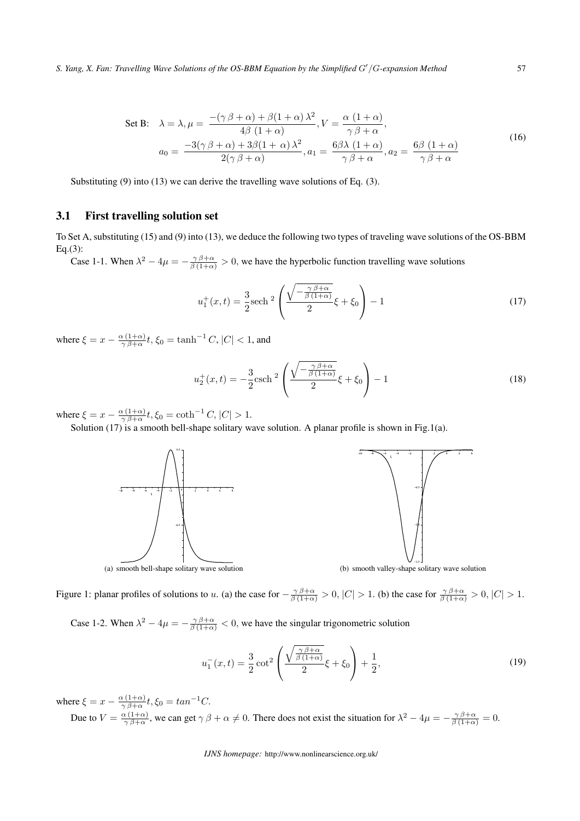*S. Yang, X. Fan: Travelling Wave Solutions of the OS-BBM Equation by the Simplified ′ /-expansion Method* 57

Set B: 
$$
\lambda = \lambda, \mu = \frac{-(\gamma \beta + \alpha) + \beta(1 + \alpha) \lambda^2}{4\beta (1 + \alpha)}, V = \frac{\alpha (1 + \alpha)}{\gamma \beta + \alpha},
$$

$$
a_0 = \frac{-3(\gamma \beta + \alpha) + 3\beta(1 + \alpha) \lambda^2}{2(\gamma \beta + \alpha)}, a_1 = \frac{6\beta \lambda (1 + \alpha)}{\gamma \beta + \alpha}, a_2 = \frac{6\beta (1 + \alpha)}{\gamma \beta + \alpha}
$$
(16)

Substituting (9) into (13) we can derive the travelling wave solutions of Eq. (3).

#### 3.1 First travelling solution set

To Set A, substituting (15) and (9) into (13), we deduce the following two types of traveling wave solutions of the OS-BBM Eq.(3):

Case 1-1. When  $\lambda^2 - 4\mu = -\frac{\gamma \beta + \alpha}{\beta (1+\alpha)} > 0$ , we have the hyperbolic function travelling wave solutions

$$
u_1^+(x,t) = \frac{3}{2} \text{sech}^2 \left( \frac{\sqrt{-\frac{\gamma \beta + \alpha}{\beta (1+\alpha)}}}{2} \xi + \xi_0 \right) - 1 \tag{17}
$$

where  $\xi = x - \frac{\alpha (1+\alpha)}{\gamma \beta + \alpha}$  $\frac{\alpha}{\gamma} \frac{(1+\alpha)}{\beta+\alpha} t$ ,  $\xi_0 = \tanh^{-1} C$ ,  $|C| < 1$ , and

$$
u_2^+(x,t) = -\frac{3}{2}\text{csch}^2\left(\frac{\sqrt{-\frac{\gamma\beta+\alpha}{\beta(1+\alpha)}}}{2}\xi + \xi_0\right) - 1\tag{18}
$$

where  $\xi = x - \frac{\alpha (1+\alpha)}{\gamma \beta + \alpha}$  $\frac{\alpha(1+\alpha)}{\gamma\beta+\alpha}t, \xi_0 = \coth^{-1} C, |C| > 1.$ 

Solution (17) is a smooth bell-shape solitary wave solution. A planar profile is shown in Fig.1(a).





(a) smooth bell-shape solitary wave solution

(b) smooth valley-shape solitary wave solution

Figure 1: planar profiles of solutions to u. (a) the case for  $-\frac{\gamma\beta+\alpha}{\beta(1+\alpha)} > 0$ ,  $|C| > 1$ . (b) the case for  $\frac{\gamma\beta+\alpha}{\beta(1+\alpha)} > 0$ ,  $|C| > 1$ .

Case 1-2. When  $\lambda^2 - 4\mu = -\frac{\gamma \beta + \alpha}{\beta (1+\alpha)} < 0$ , we have the singular trigonometric solution

$$
u_1^-(x,t) = \frac{3}{2}\cot^2\left(\frac{\sqrt{\frac{\gamma\beta + \alpha}{\beta(1+\alpha)}}}{2}\xi + \xi_0\right) + \frac{1}{2},\tag{19}
$$

where  $\xi = x - \frac{\alpha (1+\alpha)}{\gamma \beta + \alpha}$  $\frac{\alpha(1+\alpha)}{\gamma\beta+\alpha}t, \xi_0 = \tan^{-1}C.$ Due to  $V = \frac{\alpha (1+\alpha)}{\alpha \beta + \alpha}$  $\frac{\alpha(1+\alpha)}{\gamma\beta+\alpha}$ , we can get  $\gamma\beta+\alpha\neq 0$ . There does not exist the situation for  $\lambda^2-4\mu=-\frac{\gamma\beta+\alpha}{\beta(1+\alpha)}=0$ .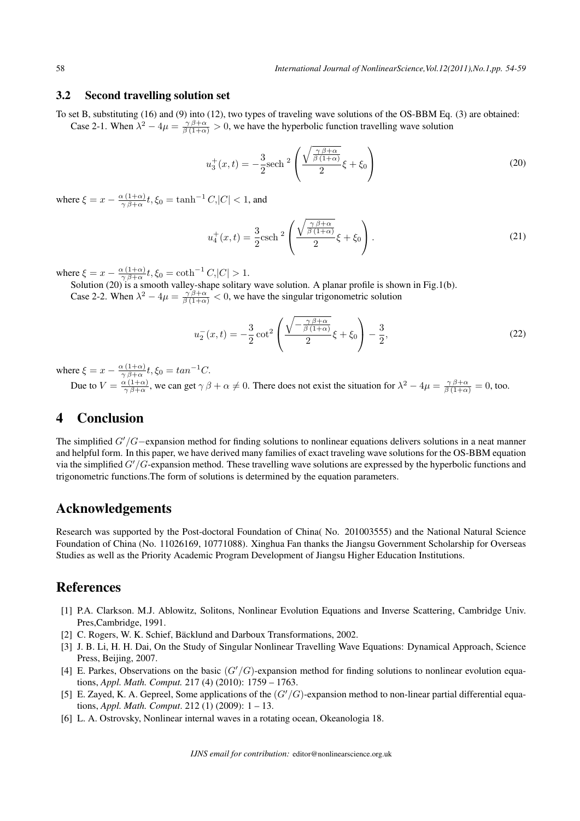#### 3.2 Second travelling solution set

To set B, substituting (16) and (9) into (12), two types of traveling wave solutions of the OS-BBM Eq. (3) are obtained: Case 2-1. When  $\lambda^2 - 4\mu = \frac{\gamma \beta + \alpha}{\beta (1 + \alpha)} > 0$ , we have the hyperbolic function travelling wave solution

$$
u_3^+(x,t) = -\frac{3}{2}\text{sech}^2\left(\frac{\sqrt{\frac{\gamma\beta+\alpha}{\beta(1+\alpha)}}}{2}\xi + \xi_0\right)
$$
(20)

where  $\xi = x - \frac{\alpha (1+\alpha)}{\gamma \beta + \alpha}$  $\frac{\alpha}{\gamma} \frac{(1+\alpha)}{\beta+\alpha} t$ ,  $\xi_0 = \tanh^{-1} C,$   $|C| < 1$ , and

$$
u_4^+(x,t) = \frac{3}{2}\text{csch}^2\left(\frac{\sqrt{\frac{\gamma\beta+\alpha}{\beta(1+\alpha)}}}{2}\xi + \xi_0\right). \tag{21}
$$

where  $\xi = x - \frac{\alpha (1+\alpha)}{\gamma \beta + \alpha}$  $\frac{\alpha(1+\alpha)}{\gamma\beta+\alpha}t, \xi_0 = \coth^{-1}C, |C| > 1.$ 

Solution (20) is a smooth valley-shape solitary wave solution. A planar profile is shown in Fig.1(b). Case 2-2. When  $\lambda^2 - 4\mu = \frac{\gamma \beta + \alpha}{\beta (1 + \alpha)} < 0$ , we have the singular trigonometric solution

$$
u_2^-(x,t) = -\frac{3}{2}\cot^2\left(\frac{\sqrt{-\frac{\gamma\beta+\alpha}{\beta(1+\alpha)}}}{2}\xi + \xi_0\right) - \frac{3}{2},\tag{22}
$$

where  $\xi = x - \frac{\alpha (1+\alpha)}{\gamma \beta + \alpha}$  $\frac{\alpha(1+\alpha)}{\gamma\beta+\alpha}t, \xi_0 = \tan^{-1}C.$ Due to  $V = \frac{\alpha (1+\alpha)}{\alpha \beta + \alpha}$  $\frac{\alpha(1+\alpha)}{\gamma\beta+\alpha}$ , we can get  $\gamma\beta+\alpha\neq 0$ . There does not exist the situation for  $\lambda^2-4\mu=\frac{\gamma\beta+\alpha}{\beta(1+\alpha)}=0$ , too.

## 4 Conclusion

The simplified *G'*/*G*−expansion method for finding solutions to nonlinear equations delivers solutions in a neat manner and helpful form. In this paper, we have derived many families of exact traveling wave solutions for the OS-BBM equation via the simplified *G'*/*G*-expansion method. These travelling wave solutions are expressed by the hyperbolic functions and trigonometric functions.The form of solutions is determined by the equation parameters.

### Acknowledgements

Research was supported by the Post-doctoral Foundation of China( No. 201003555) and the National Natural Science Foundation of China (No. 11026169, 10771088). Xinghua Fan thanks the Jiangsu Government Scholarship for Overseas Studies as well as the Priority Academic Program Development of Jiangsu Higher Education Institutions.

## References

- [1] P.A. Clarkson. M.J. Ablowitz, Solitons, Nonlinear Evolution Equations and Inverse Scattering, Cambridge Univ. Pres,Cambridge, 1991.
- [2] C. Rogers, W. K. Schief, Bäcklund and Darboux Transformations, 2002.
- [3] J. B. Li, H. H. Dai, On the Study of Singular Nonlinear Travelling Wave Equations: Dynamical Approach, Science Press, Beijing, 2007.
- [4] E. Parkes, Observations on the basic  $(G'/G)$ -expansion method for finding solutions to nonlinear evolution equations, *Appl. Math. Comput.* 217 (4) (2010): 1759 – 1763.
- [5] E. Zayed, K. A. Gepreel, Some applications of the  $(G'/G)$ -expansion method to non-linear partial differential equations, *Appl. Math. Comput*. 212 (1) (2009): 1 – 13.
- [6] L. A. Ostrovsky, Nonlinear internal waves in a rotating ocean, Okeanologia 18.